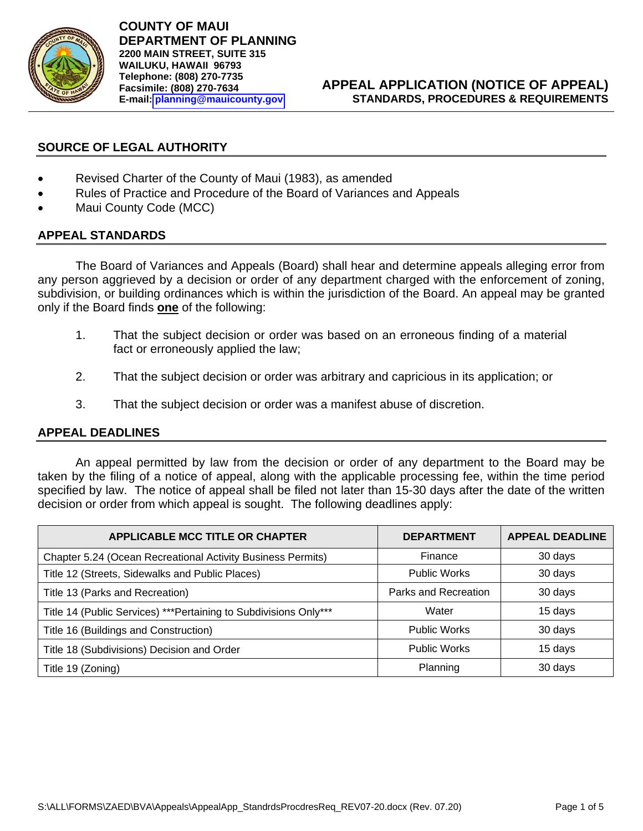

**COUNTY OF MAUI DEPARTMENT OF PLANNING 2200 MAIN STREET, SUITE 315 WAILUKU, HAWAII 96793 Telephone: (808) 270-7735 Facsimile: (808) 270-7634 E-mail: [planning@mauicounty.gov](mailto:planning@mauicounty.gov)**

#### **APPEAL APPLICATION (NOTICE OF APPEAL) STANDARDS, PROCEDURES & REQUIREMENTS**

### **SOURCE OF LEGAL AUTHORITY**

- Revised Charter of the County of Maui (1983), as amended
- Rules of Practice and Procedure of the Board of Variances and Appeals
- Maui County Code (MCC)

# **APPEAL STANDARDS**

The Board of Variances and Appeals (Board) shall hear and determine appeals alleging error from any person aggrieved by a decision or order of any department charged with the enforcement of zoning, subdivision, or building ordinances which is within the jurisdiction of the Board. An appeal may be granted only if the Board finds **one** of the following:

- 1. That the subject decision or order was based on an erroneous finding of a material fact or erroneously applied the law;
- 2. That the subject decision or order was arbitrary and capricious in its application; or
- 3. That the subject decision or order was a manifest abuse of discretion.

#### **APPEAL DEADLINES**

An appeal permitted by law from the decision or order of any department to the Board may be taken by the filing of a notice of appeal, along with the applicable processing fee, within the time period specified by law. The notice of appeal shall be filed not later than 15-30 days after the date of the written decision or order from which appeal is sought. The following deadlines apply:

| <b>APPLICABLE MCC TITLE OR CHAPTER</b>                            | <b>DEPARTMENT</b>    | <b>APPEAL DEADLINE</b> |
|-------------------------------------------------------------------|----------------------|------------------------|
| Chapter 5.24 (Ocean Recreational Activity Business Permits)       | Finance              | 30 days                |
| Title 12 (Streets, Sidewalks and Public Places)                   | <b>Public Works</b>  | 30 days                |
| Title 13 (Parks and Recreation)                                   | Parks and Recreation | 30 days                |
| Title 14 (Public Services) *** Pertaining to Subdivisions Only*** | Water                | 15 days                |
| Title 16 (Buildings and Construction)                             | <b>Public Works</b>  | 30 days                |
| Title 18 (Subdivisions) Decision and Order                        | <b>Public Works</b>  | 15 days                |
| Title 19 (Zoning)                                                 | Planning             | 30 days                |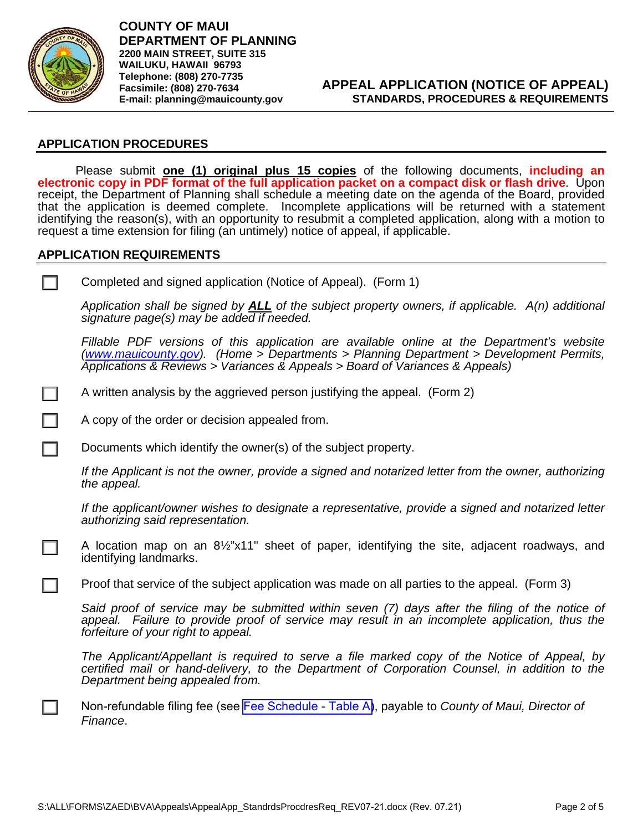

 $\mathbf{I}$ 

**COUNTY OF MAUI DEPARTMENT OF PLANNING 2200 MAIN STREET, SUITE 315 WAILUKU, HAWAII 96793 Telephone: (808) 270-7735 Facsimile: (808) 270-7634 E-mail: planning@mauicounty.gov**

#### **APPLICATION PROCEDURES**

Please submit **one (1) original plus 15 copies** of the following documents, **including an electronic copy in PDF format of the full application packet on a compact disk or flash drive**. Upon receipt, the Department of Planning shall schedule a meeting date on the agenda of the Board, provided that the application is deemed complete. Incomplete applications will be returned with a statement identifying the reason(s), with an opportunity to resubmit a completed application, along with a motion to request a time extension for filing (an untimely) notice of appeal, if applicable.

#### **APPLICATION REQUIREMENTS**

Completed and signed application (Notice of Appeal). (Form 1)

*Application shall be signed by ALL of the subject property owners, if applicable. A(n) additional signature page(s) may be added if needed.* 

*Fillable PDF versions of this application are available online at the Department's website (www.mauicounty.gov). (Home > Departments > Planning Department > Development Permits, Applications & Reviews > Variances & Appeals > Board of Variances & Appeals)*

A written analysis by the aggrieved person justifying the appeal. (Form 2)

A copy of the order or decision appealed from.

Documents which identify the owner(s) of the subject property.

*If the Applicant is not the owner, provide a signed and notarized letter from the owner, authorizing the appeal.* 

*If the applicant/owner wishes to designate a representative, provide a signed and notarized letter authorizing said representation.*

A location map on an 8½"x11" sheet of paper, identifying the site, adjacent roadways, and identifying landmarks.

Proof that service of the subject application was made on all parties to the appeal. (Form 3)

*Said proof of service may be submitted within seven (7) days after the filing of the notice of appeal. Failure to provide proof of service may result in an incomplete application, thus the forfeiture of your right to appeal.* 

*The Applicant/Appellant is required to serve a file marked copy of the Notice of Appeal, by certified mail or hand-delivery, to the Department of Corporation Counsel, in addition to the Department being appealed from.*

Non-refundable filing fee (see [Fee Schedule - Table A\)](https://www.mauicounty.gov/DocumentCenter/View/1678/Planning-App-Fees-Table-A-and-Table-B?bidId=), payable to *County of Maui, Director of Finance*.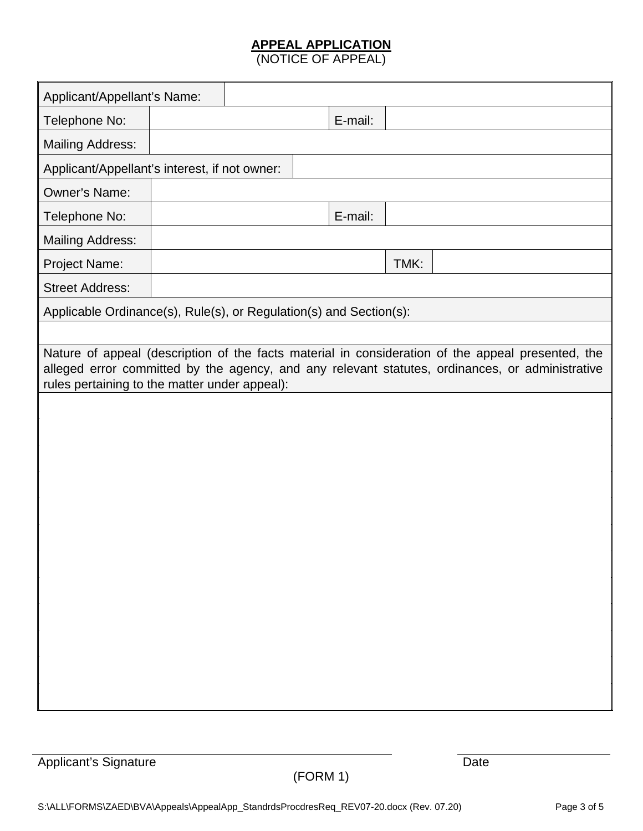# **APPEAL APPLICATION**

(NOTICE OF APPEAL)

| Applicant/Appellant's Name:                                                                                                                                                                                                                           |  |  |  |         |      |  |
|-------------------------------------------------------------------------------------------------------------------------------------------------------------------------------------------------------------------------------------------------------|--|--|--|---------|------|--|
| Telephone No:                                                                                                                                                                                                                                         |  |  |  | E-mail: |      |  |
| <b>Mailing Address:</b>                                                                                                                                                                                                                               |  |  |  |         |      |  |
| Applicant/Appellant's interest, if not owner:                                                                                                                                                                                                         |  |  |  |         |      |  |
| Owner's Name:                                                                                                                                                                                                                                         |  |  |  |         |      |  |
| Telephone No:                                                                                                                                                                                                                                         |  |  |  | E-mail: |      |  |
| <b>Mailing Address:</b>                                                                                                                                                                                                                               |  |  |  |         |      |  |
| Project Name:                                                                                                                                                                                                                                         |  |  |  |         | TMK: |  |
| <b>Street Address:</b>                                                                                                                                                                                                                                |  |  |  |         |      |  |
| Applicable Ordinance(s), Rule(s), or Regulation(s) and Section(s):                                                                                                                                                                                    |  |  |  |         |      |  |
|                                                                                                                                                                                                                                                       |  |  |  |         |      |  |
| Nature of appeal (description of the facts material in consideration of the appeal presented, the<br>alleged error committed by the agency, and any relevant statutes, ordinances, or administrative<br>rules pertaining to the matter under appeal): |  |  |  |         |      |  |
|                                                                                                                                                                                                                                                       |  |  |  |         |      |  |
|                                                                                                                                                                                                                                                       |  |  |  |         |      |  |
|                                                                                                                                                                                                                                                       |  |  |  |         |      |  |
|                                                                                                                                                                                                                                                       |  |  |  |         |      |  |
|                                                                                                                                                                                                                                                       |  |  |  |         |      |  |
|                                                                                                                                                                                                                                                       |  |  |  |         |      |  |
|                                                                                                                                                                                                                                                       |  |  |  |         |      |  |
|                                                                                                                                                                                                                                                       |  |  |  |         |      |  |
|                                                                                                                                                                                                                                                       |  |  |  |         |      |  |
|                                                                                                                                                                                                                                                       |  |  |  |         |      |  |
|                                                                                                                                                                                                                                                       |  |  |  |         |      |  |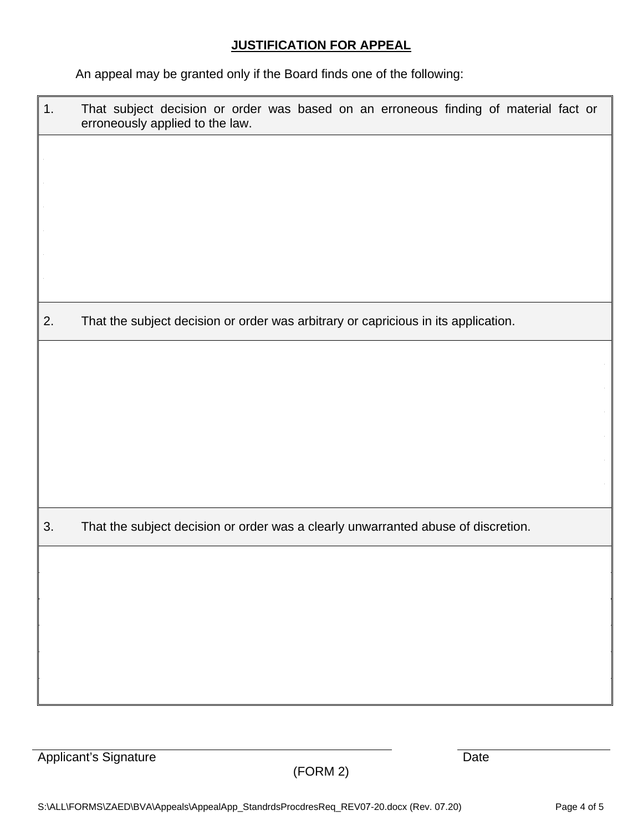# **JUSTIFICATION FOR APPEAL**

An appeal may be granted only if the Board finds one of the following:

| 1. | That subject decision or order was based on an erroneous finding of material fact or<br>erroneously applied to the law. |
|----|-------------------------------------------------------------------------------------------------------------------------|
|    |                                                                                                                         |
|    |                                                                                                                         |
|    |                                                                                                                         |
|    |                                                                                                                         |
| 2. | That the subject decision or order was arbitrary or capricious in its application.                                      |
|    |                                                                                                                         |
|    |                                                                                                                         |
|    |                                                                                                                         |
|    |                                                                                                                         |
| 3. | That the subject decision or order was a clearly unwarranted abuse of discretion.                                       |
|    |                                                                                                                         |
|    |                                                                                                                         |
|    |                                                                                                                         |
|    |                                                                                                                         |

Applicant's Signature Date

(FORM 2)